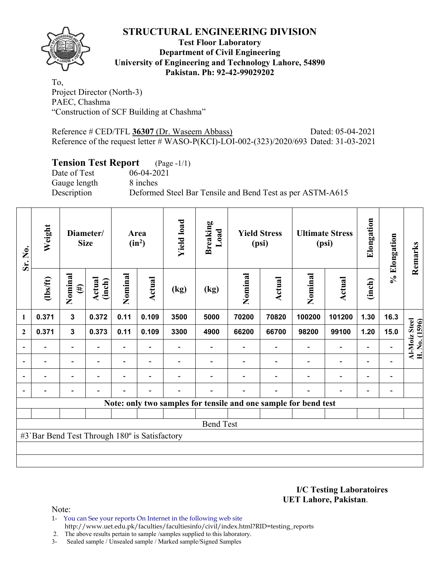

## **Test Floor Laboratory Department of Civil Engineering University of Engineering and Technology Lahore, 54890 Pakistan. Ph: 92-42-99029202**

To, Project Director (North-3) PAEC, Chashma "Construction of SCF Building at Chashma"

Reference # CED/TFL **36307** (Dr. Waseem Abbass) Dated: 05-04-2021 Reference of the request letter # WASO-P(KCI)-LOI-002-(323)/2020/693 Dated: 31-03-2021

# **Tension Test Report** (Page -1/1)

Date of Test 06-04-2021 Gauge length 8 inches Description Deformed Steel Bar Tensile and Bend Test as per ASTM-A615

| Sr. No.        | Weight                                        | Diameter/<br><b>Size</b> |                         | Area<br>$(in^2)$ |                          | <b>Yield load</b><br><b>Breaking</b><br>Load |                  | <b>Yield Stress</b><br>(psi) |                          | <b>Ultimate Stress</b><br>(psi)                                 |                          | Elongation               | % Elongation             | Remarks                        |
|----------------|-----------------------------------------------|--------------------------|-------------------------|------------------|--------------------------|----------------------------------------------|------------------|------------------------------|--------------------------|-----------------------------------------------------------------|--------------------------|--------------------------|--------------------------|--------------------------------|
|                | (1bs/ft)                                      | Nominal<br>$(\#)$        | <b>Actual</b><br>(inch) | Nominal          | <b>Actual</b>            | (kg)                                         | (kg)             | Nominal                      | Actual                   | Nominal                                                         | Actual                   | (inch)                   |                          |                                |
| 1              | 0.371                                         | $\mathbf{3}$             | 0.372                   | 0.11             | 0.109                    | 3500                                         | 5000             | 70200                        | 70820                    | 100200                                                          | 101200                   | 1.30                     | 16.3                     |                                |
| $\mathbf{2}$   | 0.371                                         | $\mathbf{3}$             | 0.373                   | 0.11             | 0.109                    | 3300                                         | 4900             | 66200                        | 66700                    | 98200                                                           | 99100                    | 1.20                     | 15.0                     | Al-Moiz Steel<br>H. No. (1596) |
|                |                                               | $\overline{\phantom{a}}$ | $\blacksquare$          | Ξ.               | $\overline{\phantom{0}}$ |                                              |                  |                              |                          | $\overline{a}$                                                  | $\overline{\phantom{a}}$ | $\overline{\phantom{a}}$ |                          |                                |
|                |                                               | $\overline{\phantom{0}}$ |                         |                  | $\blacksquare$           |                                              |                  |                              |                          |                                                                 | $\overline{\phantom{0}}$ | $\overline{\phantom{0}}$ |                          |                                |
| $\blacksquare$ |                                               | -                        |                         |                  |                          |                                              |                  |                              |                          |                                                                 | $\overline{a}$           | $\overline{\phantom{0}}$ | $\overline{\phantom{0}}$ |                                |
| $\overline{a}$ |                                               | $\overline{\phantom{0}}$ |                         |                  |                          |                                              |                  |                              | $\overline{\phantom{0}}$ | ۰                                                               | $\overline{\phantom{0}}$ | $\overline{\phantom{0}}$ |                          |                                |
|                |                                               |                          |                         |                  |                          |                                              |                  |                              |                          | Note: only two samples for tensile and one sample for bend test |                          |                          |                          |                                |
|                |                                               |                          |                         |                  |                          |                                              |                  |                              |                          |                                                                 |                          |                          |                          |                                |
|                |                                               |                          |                         |                  |                          |                                              | <b>Bend Test</b> |                              |                          |                                                                 |                          |                          |                          |                                |
|                | #3`Bar Bend Test Through 180° is Satisfactory |                          |                         |                  |                          |                                              |                  |                              |                          |                                                                 |                          |                          |                          |                                |
|                |                                               |                          |                         |                  |                          |                                              |                  |                              |                          |                                                                 |                          |                          |                          |                                |
|                |                                               |                          |                         |                  |                          |                                              |                  |                              |                          |                                                                 |                          |                          |                          |                                |

**I/C Testing Laboratoires UET Lahore, Pakistan**.

Note:

1- You can See your reports On Internet in the following web site http://www.uet.edu.pk/faculties/facultiesinfo/civil/index.html?RID=testing\_reports

2. The above results pertain to sample /samples supplied to this laboratory.

3- Sealed sample / Unsealed sample / Marked sample/Signed Samples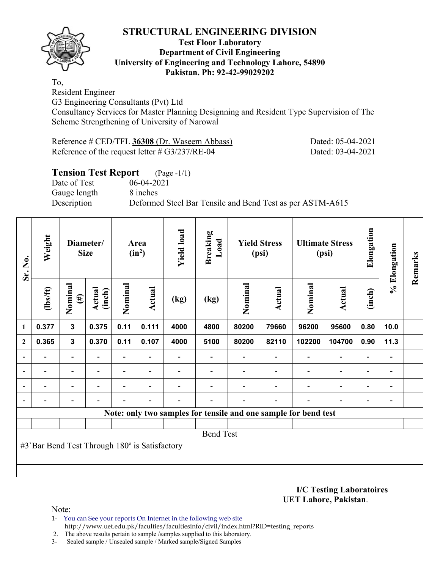

## **Test Floor Laboratory Department of Civil Engineering University of Engineering and Technology Lahore, 54890 Pakistan. Ph: 92-42-99029202**

To,

Resident Engineer

G3 Engineering Consultants (Pvt) Ltd

Consultancy Services for Master Planning Designning and Resident Type Supervision of The Scheme Strengthening of University of Narowal

| Reference # CED/TFL 36308 (Dr. Waseem Abbass)     | Dated: 05-04-2021 |
|---------------------------------------------------|-------------------|
| Reference of the request letter $\# G3/237/RE-04$ | Dated: 03-04-2021 |

## **Tension Test Report** (Page -1/1) Date of Test 06-04-2021 Gauge length 8 inches Description Deformed Steel Bar Tensile and Bend Test as per ASTM-A615

| Sr. No.                  | Weight                                        | Diameter/<br><b>Size</b>              |       | Area<br>$(in^2)$         |                | <b>Yield load</b> | Breaking<br>Load | <b>Yield Stress</b><br>(psi) |                                                                 | <b>Ultimate Stress</b><br>(psi) |                          | Elongation               | % Elongation                 | Remarks |
|--------------------------|-----------------------------------------------|---------------------------------------|-------|--------------------------|----------------|-------------------|------------------|------------------------------|-----------------------------------------------------------------|---------------------------------|--------------------------|--------------------------|------------------------------|---------|
|                          | $\frac{2}{10}$                                | Nominal<br>Actual<br>(inch)<br>$(\#)$ |       | Nominal                  | Actual         | (kg)              | (kg)             | Nominal                      | Actual                                                          | Nominal                         | <b>Actual</b>            | (inch)                   |                              |         |
| $\mathbf{1}$             | 0.377                                         | $\mathbf{3}$                          | 0.375 | 0.11                     | 0.111          | 4000              | 4800             | 80200                        | 79660                                                           | 96200                           | 95600                    | 0.80                     | 10.0                         |         |
| $\mathbf{2}$             | 0.365                                         | $\mathbf{3}$                          | 0.370 | 0.11                     | 0.107          | 4000              | 5100             | 80200                        | 82110                                                           | 102200                          | 104700                   | 0.90                     | 11.3                         |         |
|                          |                                               | $\overline{\phantom{0}}$              |       | $\blacksquare$           |                |                   |                  |                              |                                                                 | $\overline{\phantom{0}}$        | $\overline{\phantom{0}}$ | $\overline{\phantom{0}}$ |                              |         |
|                          |                                               | $\overline{\phantom{0}}$              |       | $\overline{\phantom{0}}$ | $\blacksquare$ |                   |                  |                              |                                                                 |                                 | $\overline{\phantom{0}}$ | $\overline{\phantom{0}}$ |                              |         |
| $\overline{\phantom{0}}$ |                                               | $\overline{\phantom{0}}$              |       | $\overline{\phantom{0}}$ |                |                   |                  |                              |                                                                 |                                 | $\overline{\phantom{0}}$ | $\overline{\phantom{0}}$ | $\qquad \qquad \blacksquare$ |         |
|                          |                                               |                                       |       |                          |                |                   |                  |                              |                                                                 |                                 |                          | $\overline{\phantom{0}}$ |                              |         |
|                          |                                               |                                       |       |                          |                |                   |                  |                              | Note: only two samples for tensile and one sample for bend test |                                 |                          |                          |                              |         |
|                          |                                               |                                       |       |                          |                |                   |                  |                              |                                                                 |                                 |                          |                          |                              |         |
|                          |                                               |                                       |       |                          |                |                   | <b>Bend Test</b> |                              |                                                                 |                                 |                          |                          |                              |         |
|                          | #3`Bar Bend Test Through 180° is Satisfactory |                                       |       |                          |                |                   |                  |                              |                                                                 |                                 |                          |                          |                              |         |
|                          |                                               |                                       |       |                          |                |                   |                  |                              |                                                                 |                                 |                          |                          |                              |         |
|                          |                                               |                                       |       |                          |                |                   |                  |                              |                                                                 |                                 |                          |                          |                              |         |

**I/C Testing Laboratoires UET Lahore, Pakistan**.

Note:

- 1- You can See your reports On Internet in the following web site http://www.uet.edu.pk/faculties/facultiesinfo/civil/index.html?RID=testing\_reports
- 2. The above results pertain to sample /samples supplied to this laboratory.
- 3- Sealed sample / Unsealed sample / Marked sample/Signed Samples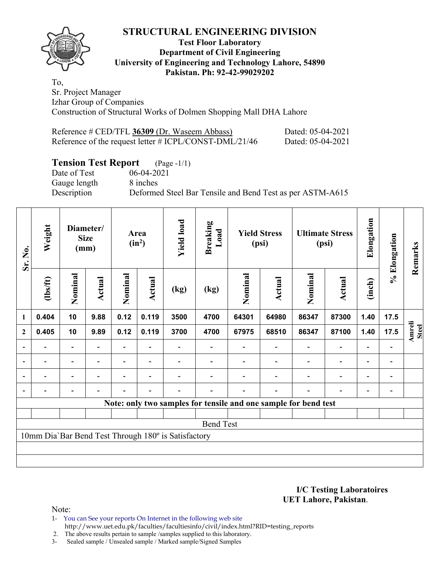## **Test Floor Laboratory Department of Civil Engineering University of Engineering and Technology Lahore, 54890 Pakistan. Ph: 92-42-99029202**

To, Sr. Project Manager Izhar Group of Companies Construction of Structural Works of Dolmen Shopping Mall DHA Lahore

| Reference # CED/TFL 36309 (Dr. Waseem Abbass)          | Dated: 05-04-2021 |
|--------------------------------------------------------|-------------------|
| Reference of the request letter # ICPL/CONST-DML/21/46 | Dated: 05-04-2021 |

# **Tension Test Report** (Page -1/1)

Date of Test 06-04-2021 Gauge length 8 inches

Description Deformed Steel Bar Tensile and Bend Test as per ASTM-A615

| Sr. No.                                                         | Weight                   | Diameter/<br><b>Size</b><br>(mm) |                | Area<br>$(in^2)$ |                          | <b>Yield load</b><br><b>Breaking</b><br>Load        |                  | <b>Yield Stress</b><br>(psi) |                          | <b>Ultimate Stress</b><br>(psi) |                              | Elongation               | % Elongation   | Remarks                       |
|-----------------------------------------------------------------|--------------------------|----------------------------------|----------------|------------------|--------------------------|-----------------------------------------------------|------------------|------------------------------|--------------------------|---------------------------------|------------------------------|--------------------------|----------------|-------------------------------|
|                                                                 | (1bs/ft)                 | Nominal                          | Actual         | Nominal          | Actual                   | (kg)                                                | (kg)             | Nominal                      | Actual                   | Nominal                         | <b>Actual</b>                | (inch)                   |                |                               |
| 1                                                               | 0.404                    | 10                               | 9.88           | 0.12             | 0.119                    | 3500                                                | 4700             | 64301                        | 64980                    | 86347                           | 87300                        | 1.40                     | 17.5           |                               |
| $\mathbf{2}$                                                    | 0.405                    | 10                               | 9.89           | 0.12             | 0.119                    | 3700                                                | 4700             | 67975                        | 68510                    | 86347                           | 87100                        | 1.40                     | 17.5           | <b>Amreli</b><br><b>Steel</b> |
|                                                                 | $\overline{\phantom{0}}$ | $\overline{\phantom{a}}$         | $\blacksquare$ |                  | $\overline{\phantom{a}}$ |                                                     |                  |                              | $\overline{\phantom{a}}$ | $\overline{\phantom{a}}$        | $\overline{a}$               | $\overline{a}$           |                |                               |
|                                                                 | $\blacksquare$           | $\overline{\phantom{a}}$         |                | Ξ.               | $\overline{\phantom{a}}$ |                                                     |                  |                              | $\blacksquare$           | $\overline{\phantom{0}}$        | $\overline{a}$               | $\overline{\phantom{a}}$ | $\blacksquare$ |                               |
|                                                                 |                          | $\overline{\phantom{a}}$         |                | Ξ.               | $\blacksquare$           |                                                     |                  |                              |                          |                                 | $\qquad \qquad \blacksquare$ | $\overline{\phantom{0}}$ |                |                               |
|                                                                 |                          | $\overline{\phantom{0}}$         |                |                  |                          |                                                     |                  |                              |                          |                                 | $\overline{\phantom{0}}$     | $\overline{\phantom{0}}$ |                |                               |
| Note: only two samples for tensile and one sample for bend test |                          |                                  |                |                  |                          |                                                     |                  |                              |                          |                                 |                              |                          |                |                               |
|                                                                 |                          |                                  |                |                  |                          |                                                     |                  |                              |                          |                                 |                              |                          |                |                               |
|                                                                 |                          |                                  |                |                  |                          |                                                     | <b>Bend Test</b> |                              |                          |                                 |                              |                          |                |                               |
|                                                                 |                          |                                  |                |                  |                          | 10mm Dia'Bar Bend Test Through 180° is Satisfactory |                  |                              |                          |                                 |                              |                          |                |                               |
|                                                                 |                          |                                  |                |                  |                          |                                                     |                  |                              |                          |                                 |                              |                          |                |                               |
|                                                                 |                          |                                  |                |                  |                          |                                                     |                  |                              |                          |                                 |                              |                          |                |                               |

**I/C Testing Laboratoires UET Lahore, Pakistan**.

Note:

1- You can See your reports On Internet in the following web site http://www.uet.edu.pk/faculties/facultiesinfo/civil/index.html?RID=testing\_reports

2. The above results pertain to sample /samples supplied to this laboratory.

3- Sealed sample / Unsealed sample / Marked sample/Signed Samples